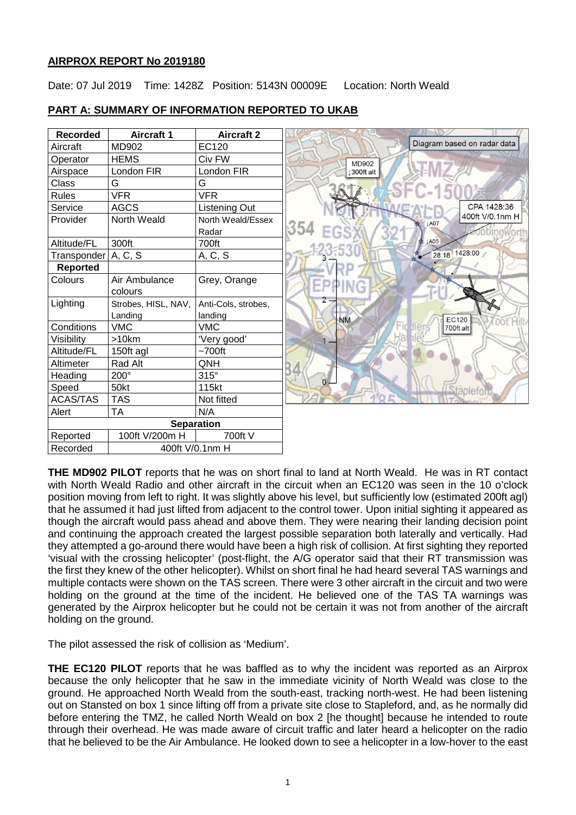### **AIRPROX REPORT No 2019180**

Date: 07 Jul 2019 Time: 1428Z Position: 5143N 00009E Location: North Weald

|  | <b>PART A: SUMMARY OF INFORMATION REPORTED TO UKAB</b> |
|--|--------------------------------------------------------|
|  |                                                        |

| <b>Recorded</b>   | <b>Aircraft 1</b>   | <b>Aircraft 2</b>   |                                     |
|-------------------|---------------------|---------------------|-------------------------------------|
| Aircraft          | MD902               | EC120               | Diagram based on radar data         |
| Operator          | <b>HEMS</b>         | Civ FW              | <b>MD902</b>                        |
| Airspace          | London FIR          | London FIR          | 300ft alt                           |
| Class             | G                   | G                   |                                     |
| <b>Rules</b>      | <b>VFR</b>          | <b>VFR</b>          |                                     |
| Service           | <b>AGCS</b>         | Listening Out       | CPA 1428:36                         |
| Provider          | North Weald         | North Weald/Essex   | 400ft V/0.1nm H<br><b>JA07</b>      |
|                   |                     | Radar               | 354                                 |
| Altitude/FL       | 300ft               | 700ft               | $\downarrow$ A05                    |
| Transponder       | A, C, S             | A, C, S             | 28:18 1428:00                       |
| <b>Reported</b>   |                     |                     |                                     |
| Colours           | Air Ambulance       | Grey, Orange        | m                                   |
|                   | colours             |                     |                                     |
| Lighting          | Strobes, HISL, NAV, | Anti-Cols, strobes, | 2                                   |
|                   | Landing             | landing             | <b>NM</b><br>EC120<br><b>COTHIL</b> |
| Conditions        | <b>VMC</b>          | <b>VMC</b>          | Fid Ilers<br>700ft alt              |
| Visibility        | >10km               | 'Very good'         | на                                  |
| Altitude/FL       | 150ft agl           | $~1$ 700ft          |                                     |
| Altimeter         | Rad Alt             | QNH                 |                                     |
| Heading           | 200°                | $315^\circ$         | $0 -$                               |
| Speed             | 50kt                | 115kt               | Staplefo                            |
| <b>ACAS/TAS</b>   | <b>TAS</b>          | Not fitted          |                                     |
| Alert             | <b>TA</b>           | N/A                 |                                     |
| <b>Separation</b> |                     |                     |                                     |
| Reported          | 100ft V/200m H      | 700ft V             |                                     |
| Recorded          | 400ft V/0.1nm H     |                     |                                     |

**THE MD902 PILOT** reports that he was on short final to land at North Weald. He was in RT contact with North Weald Radio and other aircraft in the circuit when an EC120 was seen in the 10 o'clock position moving from left to right. It was slightly above his level, but sufficiently low (estimated 200ft agl) that he assumed it had just lifted from adjacent to the control tower. Upon initial sighting it appeared as though the aircraft would pass ahead and above them. They were nearing their landing decision point and continuing the approach created the largest possible separation both laterally and vertically. Had they attempted a go-around there would have been a high risk of collision. At first sighting they reported 'visual with the crossing helicopter' (post-flight, the A/G operator said that their RT transmission was the first they knew of the other helicopter). Whilst on short final he had heard several TAS warnings and multiple contacts were shown on the TAS screen. There were 3 other aircraft in the circuit and two were holding on the ground at the time of the incident. He believed one of the TAS TA warnings was generated by the Airprox helicopter but he could not be certain it was not from another of the aircraft holding on the ground.

The pilot assessed the risk of collision as 'Medium'.

**THE EC120 PILOT** reports that he was baffled as to why the incident was reported as an Airprox because the only helicopter that he saw in the immediate vicinity of North Weald was close to the ground. He approached North Weald from the south-east, tracking north-west. He had been listening out on Stansted on box 1 since lifting off from a private site close to Stapleford, and, as he normally did before entering the TMZ, he called North Weald on box 2 [he thought] because he intended to route through their overhead. He was made aware of circuit traffic and later heard a helicopter on the radio that he believed to be the Air Ambulance. He looked down to see a helicopter in a low-hover to the east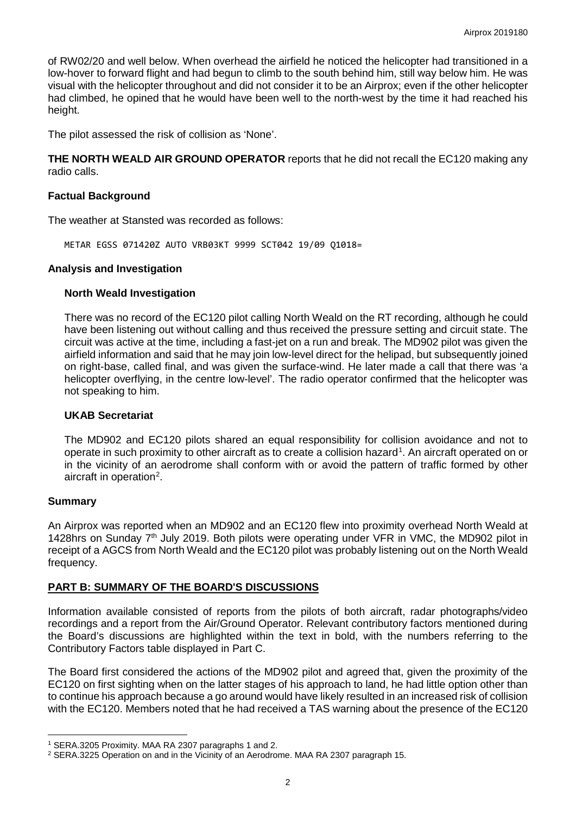of RW02/20 and well below. When overhead the airfield he noticed the helicopter had transitioned in a low-hover to forward flight and had begun to climb to the south behind him, still way below him. He was visual with the helicopter throughout and did not consider it to be an Airprox; even if the other helicopter had climbed, he opined that he would have been well to the north-west by the time it had reached his height.

The pilot assessed the risk of collision as 'None'.

**THE NORTH WEALD AIR GROUND OPERATOR** reports that he did not recall the EC120 making any radio calls.

#### **Factual Background**

The weather at Stansted was recorded as follows:

METAR EGSS 071420Z AUTO VRB03KT 9999 SCT042 19/09 Q1018=

#### **Analysis and Investigation**

#### **North Weald Investigation**

There was no record of the EC120 pilot calling North Weald on the RT recording, although he could have been listening out without calling and thus received the pressure setting and circuit state. The circuit was active at the time, including a fast-jet on a run and break. The MD902 pilot was given the airfield information and said that he may join low-level direct for the helipad, but subsequently joined on right-base, called final, and was given the surface-wind. He later made a call that there was 'a helicopter overflying, in the centre low-level'. The radio operator confirmed that the helicopter was not speaking to him.

#### **UKAB Secretariat**

The MD902 and EC120 pilots shared an equal responsibility for collision avoidance and not to operate in such proximity to other aircraft as to create a collision hazard<sup>[1](#page-1-0)</sup>. An aircraft operated on or in the vicinity of an aerodrome shall conform with or avoid the pattern of traffic formed by other aircraft in operation<sup>[2](#page-1-1)</sup>.

#### **Summary**

 $\overline{\phantom{a}}$ 

An Airprox was reported when an MD902 and an EC120 flew into proximity overhead North Weald at 1428hrs on Sunday 7<sup>th</sup> July 2019. Both pilots were operating under VFR in VMC, the MD902 pilot in receipt of a AGCS from North Weald and the EC120 pilot was probably listening out on the North Weald frequency.

## **PART B: SUMMARY OF THE BOARD'S DISCUSSIONS**

Information available consisted of reports from the pilots of both aircraft, radar photographs/video recordings and a report from the Air/Ground Operator. Relevant contributory factors mentioned during the Board's discussions are highlighted within the text in bold, with the numbers referring to the Contributory Factors table displayed in Part C.

The Board first considered the actions of the MD902 pilot and agreed that, given the proximity of the EC120 on first sighting when on the latter stages of his approach to land, he had little option other than to continue his approach because a go around would have likely resulted in an increased risk of collision with the EC120. Members noted that he had received a TAS warning about the presence of the EC120

<span id="page-1-0"></span><sup>1</sup> SERA.3205 Proximity. MAA RA 2307 paragraphs 1 and 2.

<span id="page-1-1"></span><sup>2</sup> SERA.3225 Operation on and in the Vicinity of an Aerodrome. MAA RA 2307 paragraph 15.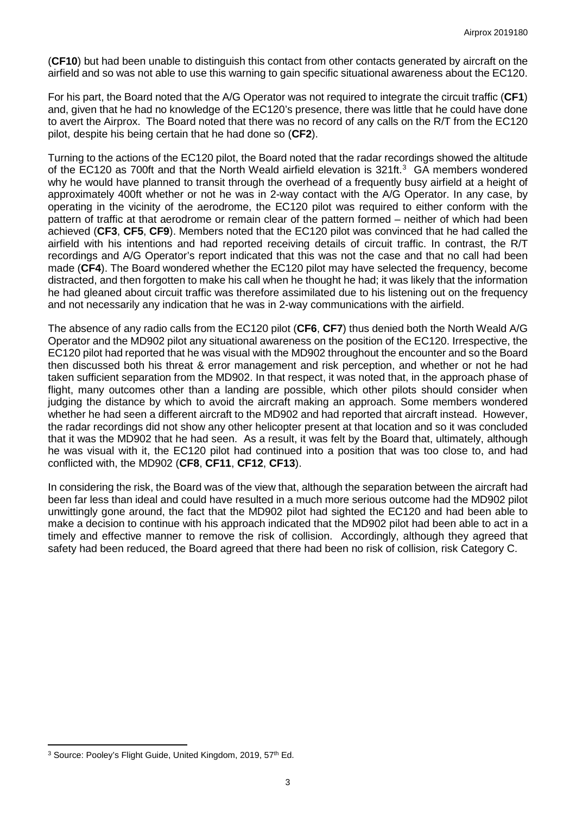(**CF10**) but had been unable to distinguish this contact from other contacts generated by aircraft on the airfield and so was not able to use this warning to gain specific situational awareness about the EC120.

For his part, the Board noted that the A/G Operator was not required to integrate the circuit traffic (**CF1**) and, given that he had no knowledge of the EC120's presence, there was little that he could have done to avert the Airprox. The Board noted that there was no record of any calls on the R/T from the EC120 pilot, despite his being certain that he had done so (**CF2**).

Turning to the actions of the EC120 pilot, the Board noted that the radar recordings showed the altitude of the EC120 as 700ft and that the North Weald airfield elevation is [3](#page-2-0)21ft.<sup>3</sup> GA members wondered why he would have planned to transit through the overhead of a frequently busy airfield at a height of approximately 400ft whether or not he was in 2-way contact with the A/G Operator. In any case, by operating in the vicinity of the aerodrome, the EC120 pilot was required to either conform with the pattern of traffic at that aerodrome or remain clear of the pattern formed – neither of which had been achieved (**CF3**, **CF5**, **CF9**). Members noted that the EC120 pilot was convinced that he had called the airfield with his intentions and had reported receiving details of circuit traffic. In contrast, the R/T recordings and A/G Operator's report indicated that this was not the case and that no call had been made (**CF4**). The Board wondered whether the EC120 pilot may have selected the frequency, become distracted, and then forgotten to make his call when he thought he had; it was likely that the information he had gleaned about circuit traffic was therefore assimilated due to his listening out on the frequency and not necessarily any indication that he was in 2-way communications with the airfield.

The absence of any radio calls from the EC120 pilot (**CF6**, **CF7**) thus denied both the North Weald A/G Operator and the MD902 pilot any situational awareness on the position of the EC120. Irrespective, the EC120 pilot had reported that he was visual with the MD902 throughout the encounter and so the Board then discussed both his threat & error management and risk perception, and whether or not he had taken sufficient separation from the MD902. In that respect, it was noted that, in the approach phase of flight, many outcomes other than a landing are possible, which other pilots should consider when judging the distance by which to avoid the aircraft making an approach. Some members wondered whether he had seen a different aircraft to the MD902 and had reported that aircraft instead. However, the radar recordings did not show any other helicopter present at that location and so it was concluded that it was the MD902 that he had seen. As a result, it was felt by the Board that, ultimately, although he was visual with it, the EC120 pilot had continued into a position that was too close to, and had conflicted with, the MD902 (**CF8**, **CF11**, **CF12**, **CF13**).

In considering the risk, the Board was of the view that, although the separation between the aircraft had been far less than ideal and could have resulted in a much more serious outcome had the MD902 pilot unwittingly gone around, the fact that the MD902 pilot had sighted the EC120 and had been able to make a decision to continue with his approach indicated that the MD902 pilot had been able to act in a timely and effective manner to remove the risk of collision. Accordingly, although they agreed that safety had been reduced, the Board agreed that there had been no risk of collision, risk Category C.

<span id="page-2-0"></span>l <sup>3</sup> Source: Pooley's Flight Guide, United Kingdom, 2019, 57<sup>th</sup> Ed.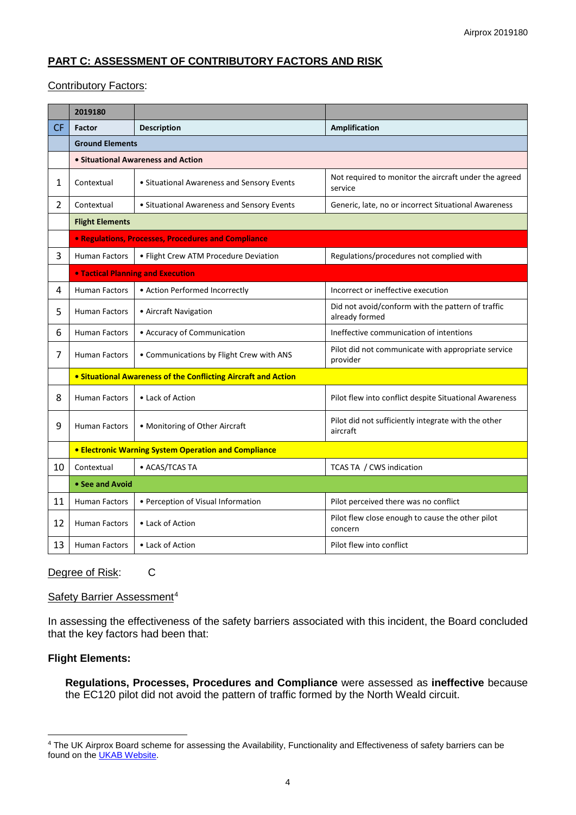# **PART C: ASSESSMENT OF CONTRIBUTORY FACTORS AND RISK**

# Contributory Factors:

|                | 2019180                                                        |                                            |                                                                     |  |  |  |  |  |
|----------------|----------------------------------------------------------------|--------------------------------------------|---------------------------------------------------------------------|--|--|--|--|--|
| <b>CF</b>      | <b>Factor</b>                                                  | <b>Description</b>                         | <b>Amplification</b>                                                |  |  |  |  |  |
|                | <b>Ground Elements</b>                                         |                                            |                                                                     |  |  |  |  |  |
|                |                                                                | • Situational Awareness and Action         |                                                                     |  |  |  |  |  |
| 1              | Contextual                                                     | • Situational Awareness and Sensory Events | Not required to monitor the aircraft under the agreed<br>service    |  |  |  |  |  |
| $\overline{2}$ | Contextual                                                     | • Situational Awareness and Sensory Events | Generic, late, no or incorrect Situational Awareness                |  |  |  |  |  |
|                | <b>Flight Elements</b>                                         |                                            |                                                                     |  |  |  |  |  |
|                | • Regulations, Processes, Procedures and Compliance            |                                            |                                                                     |  |  |  |  |  |
| 3              | <b>Human Factors</b>                                           | • Flight Crew ATM Procedure Deviation      | Regulations/procedures not complied with                            |  |  |  |  |  |
|                | <b>. Tactical Planning and Execution</b>                       |                                            |                                                                     |  |  |  |  |  |
| 4              | <b>Human Factors</b>                                           | • Action Performed Incorrectly             | Incorrect or ineffective execution                                  |  |  |  |  |  |
| 5              | <b>Human Factors</b>                                           | • Aircraft Navigation                      | Did not avoid/conform with the pattern of traffic<br>already formed |  |  |  |  |  |
| 6              | <b>Human Factors</b>                                           | • Accuracy of Communication                | Ineffective communication of intentions                             |  |  |  |  |  |
| 7              | <b>Human Factors</b>                                           | • Communications by Flight Crew with ANS   | Pilot did not communicate with appropriate service<br>provider      |  |  |  |  |  |
|                | • Situational Awareness of the Conflicting Aircraft and Action |                                            |                                                                     |  |  |  |  |  |
| 8              | <b>Human Factors</b>                                           | • Lack of Action                           | Pilot flew into conflict despite Situational Awareness              |  |  |  |  |  |
| 9              | <b>Human Factors</b>                                           | • Monitoring of Other Aircraft             | Pilot did not sufficiently integrate with the other<br>aircraft     |  |  |  |  |  |
|                | <b>• Electronic Warning System Operation and Compliance</b>    |                                            |                                                                     |  |  |  |  |  |
| 10             | Contextual                                                     | • ACAS/TCAS TA                             | TCAS TA / CWS indication                                            |  |  |  |  |  |
|                | • See and Avoid                                                |                                            |                                                                     |  |  |  |  |  |
| 11             | <b>Human Factors</b>                                           | • Perception of Visual Information         | Pilot perceived there was no conflict                               |  |  |  |  |  |
| 12             | <b>Human Factors</b>                                           | • Lack of Action                           | Pilot flew close enough to cause the other pilot<br>concern         |  |  |  |  |  |
| 13             | <b>Human Factors</b>                                           | • Lack of Action                           | Pilot flew into conflict                                            |  |  |  |  |  |

## Degree of Risk: C

# Safety Barrier Assessment<sup>[4](#page-3-0)</sup>

In assessing the effectiveness of the safety barriers associated with this incident, the Board concluded that the key factors had been that:

## **Flight Elements:**

 $\overline{\phantom{a}}$ 

**Regulations, Processes, Procedures and Compliance** were assessed as **ineffective** because the EC120 pilot did not avoid the pattern of traffic formed by the North Weald circuit.

<span id="page-3-0"></span><sup>&</sup>lt;sup>4</sup> The UK Airprox Board scheme for assessing the Availability, Functionality and Effectiveness of safety barriers can be found on the **UKAB Website**.